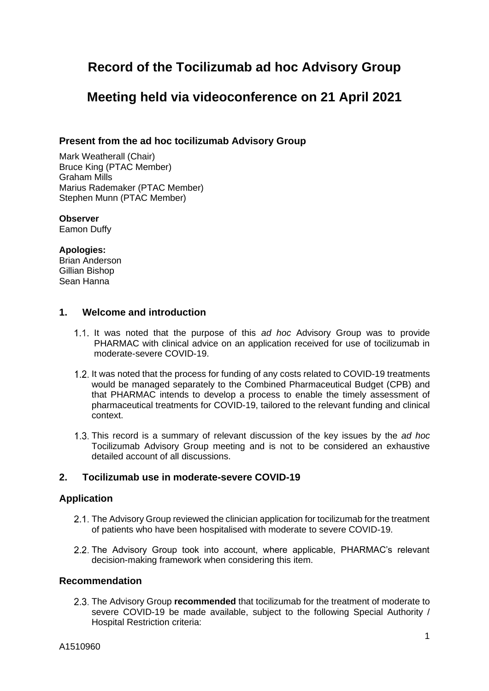# **Record of the Tocilizumab ad hoc Advisory Group**

# **Meeting held via videoconference on 21 April 2021**

# **Present from the ad hoc tocilizumab Advisory Group**

Mark Weatherall (Chair) Bruce King (PTAC Member) Graham Mills Marius Rademaker (PTAC Member) Stephen Munn (PTAC Member)

## **Observer**

Eamon Duffy

# **Apologies:**

Brian Anderson Gillian Bishop Sean Hanna

# **1. Welcome and introduction**

- 1.1. It was noted that the purpose of this *ad hoc* Advisory Group was to provide PHARMAC with clinical advice on an application received for use of tocilizumab in moderate-severe COVID-19.
- 1.2. It was noted that the process for funding of any costs related to COVID-19 treatments would be managed separately to the Combined Pharmaceutical Budget (CPB) and that PHARMAC intends to develop a process to enable the timely assessment of pharmaceutical treatments for COVID-19, tailored to the relevant funding and clinical context.
- This record is a summary of relevant discussion of the key issues by the *ad hoc* Tocilizumab Advisory Group meeting and is not to be considered an exhaustive detailed account of all discussions.

# **2. Tocilizumab use in moderate-severe COVID-19**

## **Application**

- 2.1. The Advisory Group reviewed the clinician application for tocilizumab for the treatment of patients who have been hospitalised with moderate to severe COVID-19.
- 2.2. The Advisory Group took into account, where applicable, PHARMAC's relevant decision-making framework when considering this item.

## **Recommendation**

2.3. The Advisory Group **recommended** that tocilizumab for the treatment of moderate to severe COVID-19 be made available, subject to the following Special Authority / Hospital Restriction criteria: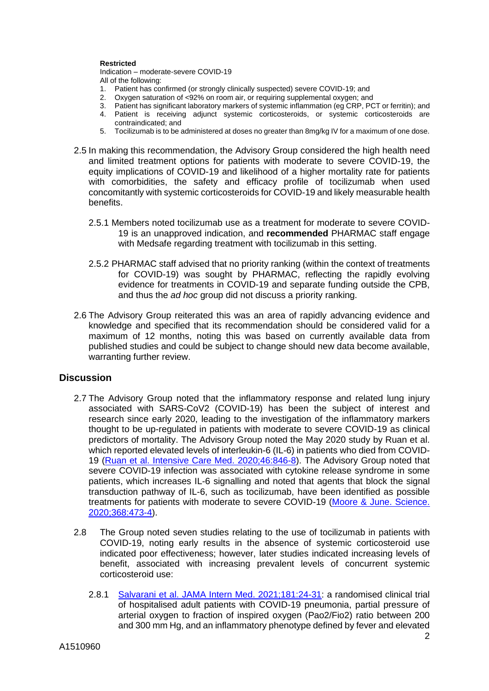#### **Restricted**

Indication – moderate-severe COVID-19 All of the following:

- 1. Patient has confirmed (or strongly clinically suspected) severe COVID-19; and
- 2. Oxygen saturation of <92% on room air, or requiring supplemental oxygen; and
- 3. Patient has significant laboratory markers of systemic inflammation (eg CRP, PCT or ferritin); and
- 4. Patient is receiving adjunct systemic corticosteroids, or systemic corticosteroids are contraindicated; and
- 5. Tocilizumab is to be administered at doses no greater than 8mg/kg IV for a maximum of one dose.
- 2.5 In making this recommendation, the Advisory Group considered the high health need and limited treatment options for patients with moderate to severe COVID-19, the equity implications of COVID-19 and likelihood of a higher mortality rate for patients with comorbidities, the safety and efficacy profile of tocilizumab when used concomitantly with systemic corticosteroids for COVID-19 and likely measurable health benefits.
	- 2.5.1 Members noted tocilizumab use as a treatment for moderate to severe COVID-19 is an unapproved indication, and **recommended** PHARMAC staff engage with Medsafe regarding treatment with tocilizumab in this setting.
	- 2.5.2 PHARMAC staff advised that no priority ranking (within the context of treatments for COVID-19) was sought by PHARMAC, reflecting the rapidly evolving evidence for treatments in COVID-19 and separate funding outside the CPB, and thus the *ad hoc* group did not discuss a priority ranking.
- 2.6 The Advisory Group reiterated this was an area of rapidly advancing evidence and knowledge and specified that its recommendation should be considered valid for a maximum of 12 months, noting this was based on currently available data from published studies and could be subject to change should new data become available, warranting further review.

## **Discussion**

- 2.7 The Advisory Group noted that the inflammatory response and related lung injury associated with SARS-CoV2 (COVID-19) has been the subject of interest and research since early 2020, leading to the investigation of the inflammatory markers thought to be up-regulated in patients with moderate to severe COVID-19 as clinical predictors of mortality. The Advisory Group noted the May 2020 study by Ruan et al. which reported elevated levels of interleukin-6 (IL-6) in patients who died from COVID-19 [\(Ruan et al. Intensive Care Med. 2020;46:846-8\)](https://pubmed.ncbi.nlm.nih.gov/32125452/). The Advisory Group noted that severe COVID-19 infection was associated with cytokine release syndrome in some patients, which increases IL-6 signalling and noted that agents that block the signal transduction pathway of IL-6, such as tocilizumab, have been identified as possible treatments for patients with moderate to severe COVID-19 [\(Moore & June. Science.](https://pubmed.ncbi.nlm.nih.gov/32303591/)  [2020;368:473-4\)](https://pubmed.ncbi.nlm.nih.gov/32303591/).
- 2.8 The Group noted seven studies relating to the use of tocilizumab in patients with COVID-19, noting early results in the absence of systemic corticosteroid use indicated poor effectiveness; however, later studies indicated increasing levels of benefit, associated with increasing prevalent levels of concurrent systemic corticosteroid use:
	- 2.8.1 [Salvarani et al. JAMA Intern Med. 2021;181:24-31:](https://pubmed.ncbi.nlm.nih.gov/33080005/) a randomised clinical trial of hospitalised adult patients with COVID-19 pneumonia, partial pressure of arterial oxygen to fraction of inspired oxygen (Pao2/Fio2) ratio between 200 and 300 mm Hg, and an inflammatory phenotype defined by fever and elevated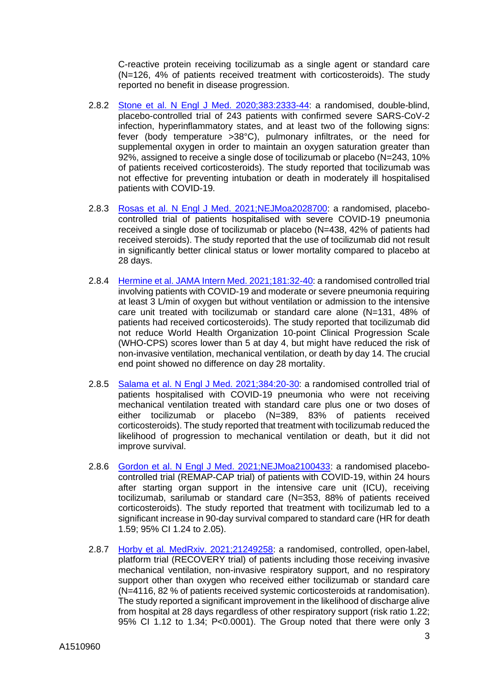C-reactive protein receiving tocilizumab as a single agent or standard care (N=126, 4% of patients received treatment with corticosteroids). The study reported no benefit in disease progression.

- 2.8.2 [Stone et al. N Engl J Med. 2020;383:2333-44:](https://pubmed.ncbi.nlm.nih.gov/33085857/) a randomised, double-blind, placebo-controlled trial of 243 patients with confirmed severe SARS-CoV-2 infection, hyperinflammatory states, and at least two of the following signs: fever (body temperature >38°C), pulmonary infiltrates, or the need for supplemental oxygen in order to maintain an oxygen saturation greater than 92%, assigned to receive a single dose of tocilizumab or placebo (N=243, 10% of patients received corticosteroids). The study reported that tocilizumab was not effective for preventing intubation or death in moderately ill hospitalised patients with COVID-19.
- 2.8.3 [Rosas et al. N Engl J Med. 2021;NEJMoa2028700:](https://pubmed.ncbi.nlm.nih.gov/33631066/) a randomised, placebocontrolled trial of patients hospitalised with severe COVID-19 pneumonia received a single dose of tocilizumab or placebo (N=438, 42% of patients had received steroids). The study reported that the use of tocilizumab did not result in significantly better clinical status or lower mortality compared to placebo at 28 days.
- 2.8.4 [Hermine et al. JAMA Intern Med. 2021;181:32-40:](https://pubmed.ncbi.nlm.nih.gov/33080017/) a randomised controlled trial involving patients with COVID-19 and moderate or severe pneumonia requiring at least 3 L/min of oxygen but without ventilation or admission to the intensive care unit treated with tocilizumab or standard care alone (N=131, 48% of patients had received corticosteroids). The study reported that tocilizumab did not reduce World Health Organization 10-point Clinical Progression Scale (WHO-CPS) scores lower than 5 at day 4, but might have reduced the risk of non-invasive ventilation, mechanical ventilation, or death by day 14. The crucial end point showed no difference on day 28 mortality.
- 2.8.5 [Salama et al. N Engl J Med. 2021;384:20-30:](https://pubmed.ncbi.nlm.nih.gov/33332779/) a randomised controlled trial of patients hospitalised with COVID-19 pneumonia who were not receiving mechanical ventilation treated with standard care plus one or two doses of either tocilizumab or placebo (N=389, 83% of patients received corticosteroids). The study reported that treatment with tocilizumab reduced the likelihood of progression to mechanical ventilation or death, but it did not improve survival.
- 2.8.6 [Gordon et al. N Engl J Med. 2021;NEJMoa2100433:](https://pubmed.ncbi.nlm.nih.gov/33631065/) a randomised placebocontrolled trial (REMAP-CAP trial) of patients with COVID-19, within 24 hours after starting organ support in the intensive care unit (ICU), receiving tocilizumab, sarilumab or standard care (N=353, 88% of patients received corticosteroids). The study reported that treatment with tocilizumab led to a significant increase in 90-day survival compared to standard care (HR for death 1.59; 95% CI 1.24 to 2.05).
- 2.8.7 [Horby et al. MedRxiv. 2021;21249258:](https://www.medrxiv.org/content/10.1101/2021.02.11.21249258v1) a randomised, controlled, open-label, platform trial (RECOVERY trial) of patients including those receiving invasive mechanical ventilation, non-invasive respiratory support, and no respiratory support other than oxygen who received either tocilizumab or standard care (N=4116, 82 % of patients received systemic corticosteroids at randomisation). The study reported a significant improvement in the likelihood of discharge alive from hospital at 28 days regardless of other respiratory support (risk ratio 1.22; 95% CI 1.12 to 1.34; P<0.0001). The Group noted that there were only 3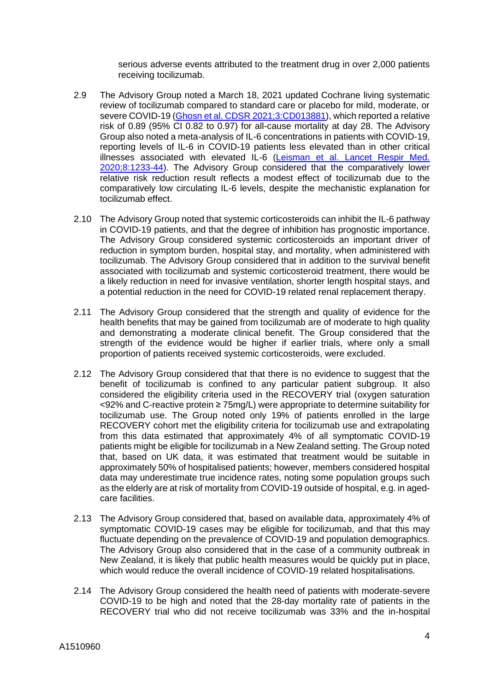serious adverse events attributed to the treatment drug in over 2,000 patients receiving tocilizumab.

- 2.9 The Advisory Group noted a March 18, 2021 updated Cochrane living systematic review of tocilizumab compared to standard care or placebo for mild, moderate, or severe COVID-19 [\(Ghosn et al. CDSR 2021;3:CD013881\)](https://www.cochranelibrary.com/cdsr/doi/10.1002/14651858.CD013881/full), which reported a relative risk of 0.89 (95% CI 0.82 to 0.97) for all-cause mortality at day 28. The Advisory Group also noted a meta-analysis of IL-6 concentrations in patients with COVID-19, reporting levels of IL-6 in COVID-19 patients less elevated than in other critical illnesses associated with elevated IL-6 [\(Leisman et al. Lancet Respir Med.](https://pubmed.ncbi.nlm.nih.gov/33075298/)  [2020;8:1233-44\)](https://pubmed.ncbi.nlm.nih.gov/33075298/). The Advisory Group considered that the comparatively lower relative risk reduction result reflects a modest effect of tocilizumab due to the comparatively low circulating IL-6 levels, despite the mechanistic explanation for tocilizumab effect.
- 2.10 The Advisory Group noted that systemic corticosteroids can inhibit the IL-6 pathway in COVID-19 patients, and that the degree of inhibition has prognostic importance. The Advisory Group considered systemic corticosteroids an important driver of reduction in symptom burden, hospital stay, and mortality, when administered with tocilizumab. The Advisory Group considered that in addition to the survival benefit associated with tocilizumab and systemic corticosteroid treatment, there would be a likely reduction in need for invasive ventilation, shorter length hospital stays, and a potential reduction in the need for COVID-19 related renal replacement therapy.
- 2.11 The Advisory Group considered that the strength and quality of evidence for the health benefits that may be gained from tocilizumab are of moderate to high quality and demonstrating a moderate clinical benefit. The Group considered that the strength of the evidence would be higher if earlier trials, where only a small proportion of patients received systemic corticosteroids, were excluded.
- 2.12 The Advisory Group considered that that there is no evidence to suggest that the benefit of tocilizumab is confined to any particular patient subgroup. It also considered the eligibility criteria used in the RECOVERY trial (oxygen saturation <92% and C-reactive protein ≥ 75mg/L) were appropriate to determine suitability for tocilizumab use. The Group noted only 19% of patients enrolled in the large RECOVERY cohort met the eligibility criteria for tocilizumab use and extrapolating from this data estimated that approximately 4% of all symptomatic COVID-19 patients might be eligible for tocilizumab in a New Zealand setting. The Group noted that, based on UK data, it was estimated that treatment would be suitable in approximately 50% of hospitalised patients; however, members considered hospital data may underestimate true incidence rates, noting some population groups such as the elderly are at risk of mortality from COVID-19 outside of hospital, e.g. in agedcare facilities.
- 2.13 The Advisory Group considered that, based on available data, approximately 4% of symptomatic COVID-19 cases may be eligible for tocilizumab, and that this may fluctuate depending on the prevalence of COVID-19 and population demographics. The Advisory Group also considered that in the case of a community outbreak in New Zealand, it is likely that public health measures would be quickly put in place, which would reduce the overall incidence of COVID-19 related hospitalisations.
- 2.14 The Advisory Group considered the health need of patients with moderate-severe COVID-19 to be high and noted that the 28-day mortality rate of patients in the RECOVERY trial who did not receive tocilizumab was 33% and the in-hospital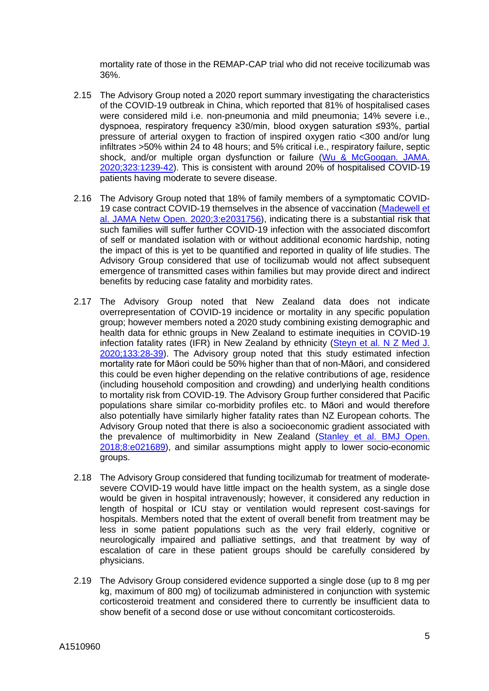mortality rate of those in the REMAP-CAP trial who did not receive tocilizumab was 36%.

- 2.15 The Advisory Group noted a 2020 report summary investigating the characteristics of the COVID-19 outbreak in China, which reported that 81% of hospitalised cases were considered mild i.e. non-pneumonia and mild pneumonia; 14% severe i.e., dyspnoea, respiratory frequency ≥30/min, blood oxygen saturation ≤93%, partial pressure of arterial oxygen to fraction of inspired oxygen ratio <300 and/or lung infiltrates >50% within 24 to 48 hours; and 5% critical i.e., respiratory failure, septic shock, and/or multiple organ dysfunction or failure (Wu & McGoogan. JAMA. [2020;323:1239-42\)](https://pubmed.ncbi.nlm.nih.gov/32091533/). This is consistent with around 20% of hospitalised COVID-19 patients having moderate to severe disease.
- 2.16 The Advisory Group noted that 18% of family members of a symptomatic COVID-19 case contract COVID-19 themselves in the absence of vaccination [\(Madewell et](https://pubmed.ncbi.nlm.nih.gov/33315116/)  [al. JAMA Netw Open. 2020;3:e2031756\)](https://pubmed.ncbi.nlm.nih.gov/33315116/), indicating there is a substantial risk that such families will suffer further COVID-19 infection with the associated discomfort of self or mandated isolation with or without additional economic hardship, noting the impact of this is yet to be quantified and reported in quality of life studies. The Advisory Group considered that use of tocilizumab would not affect subsequent emergence of transmitted cases within families but may provide direct and indirect benefits by reducing case fatality and morbidity rates.
- 2.17 The Advisory Group noted that New Zealand data does not indicate overrepresentation of COVID-19 incidence or mortality in any specific population group; however members noted a 2020 study combining existing demographic and health data for ethnic groups in New Zealand to estimate inequities in COVID-19 infection fatality rates (IFR) in New Zealand by ethnicity [\(Steyn et al. N Z Med J.](https://pubmed.ncbi.nlm.nih.gov/32994635/)  [2020;133:28-39\)](https://pubmed.ncbi.nlm.nih.gov/32994635/). The Advisory group noted that this study estimated infection mortality rate for Māori could be 50% higher than that of non-Māori, and considered this could be even higher depending on the relative contributions of age, residence (including household composition and crowding) and underlying health conditions to mortality risk from COVID-19. The Advisory Group further considered that Pacific populations share similar co-morbidity profiles etc. to Māori and would therefore also potentially have similarly higher fatality rates than NZ European cohorts. The Advisory Group noted that there is also a socioeconomic gradient associated with the prevalence of multimorbidity in New Zealand [\(Stanley et al. BMJ Open.](https://pubmed.ncbi.nlm.nih.gov/29794103/)  [2018;8:e021689\)](https://pubmed.ncbi.nlm.nih.gov/29794103/), and similar assumptions might apply to lower socio-economic groups.
- 2.18 The Advisory Group considered that funding tocilizumab for treatment of moderatesevere COVID-19 would have little impact on the health system, as a single dose would be given in hospital intravenously; however, it considered any reduction in length of hospital or ICU stay or ventilation would represent cost-savings for hospitals. Members noted that the extent of overall benefit from treatment may be less in some patient populations such as the very frail elderly, cognitive or neurologically impaired and palliative settings, and that treatment by way of escalation of care in these patient groups should be carefully considered by physicians.
- 2.19 The Advisory Group considered evidence supported a single dose (up to 8 mg per kg, maximum of 800 mg) of tocilizumab administered in conjunction with systemic corticosteroid treatment and considered there to currently be insufficient data to show benefit of a second dose or use without concomitant corticosteroids.